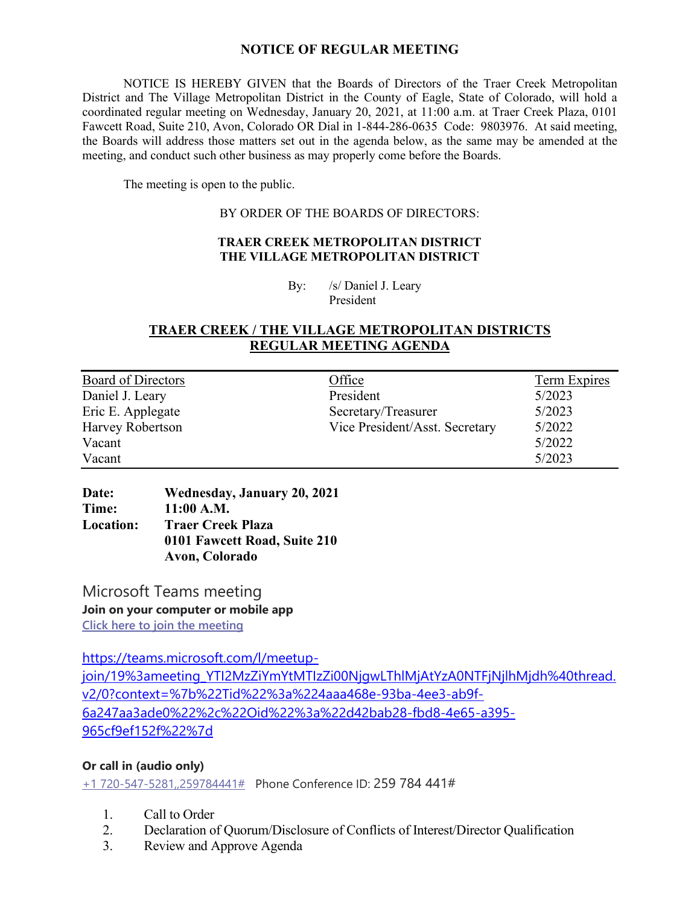## **NOTICE OF REGULAR MEETING**

NOTICE IS HEREBY GIVEN that the Boards of Directors of the Traer Creek Metropolitan District and The Village Metropolitan District in the County of Eagle, State of Colorado, will hold a coordinated regular meeting on Wednesday, January 20, 2021, at 11:00 a.m. at Traer Creek Plaza, 0101 Fawcett Road, Suite 210, Avon, Colorado OR Dial in 1-844-286-0635 Code: 9803976. At said meeting, the Boards will address those matters set out in the agenda below, as the same may be amended at the meeting, and conduct such other business as may properly come before the Boards.

The meeting is open to the public.

#### BY ORDER OF THE BOARDS OF DIRECTORS:

#### **TRAER CREEK METROPOLITAN DISTRICT THE VILLAGE METROPOLITAN DISTRICT**

By: /s/ Daniel J. Leary President

## **TRAER CREEK / THE VILLAGE METROPOLITAN DISTRICTS REGULAR MEETING AGENDA**

| <b>Board of Directors</b> | Office                         | Term Expires |
|---------------------------|--------------------------------|--------------|
| Daniel J. Leary           | President                      | 5/2023       |
| Eric E. Applegate         | Secretary/Treasurer            | 5/2023       |
| Harvey Robertson          | Vice President/Asst. Secretary | 5/2022       |
| Vacant                    |                                | 5/2022       |
| Vacant                    |                                | 5/2023       |

### **Date: Wednesday, January 20, 2021 Time: 11:00 A.M. Location: Traer Creek Plaza 0101 Fawcett Road, Suite 210 Avon, Colorado**

Microsoft Teams meeting **Join on your computer or mobile app [Click here to join the meeting](https://teams.microsoft.com/l/meetup-join/19%3ameeting_YTI2MzZiYmYtMTIzZi00NjgwLThlMjAtYzA0NTFjNjlhMjdh%40thread.v2/0?context=%7b%22Tid%22%3a%224aaa468e-93ba-4ee3-ab9f-6a247aa3ade0%22%2c%22Oid%22%3a%22d42bab28-fbd8-4e65-a395-965cf9ef152f%22%7d)**

[https://teams.microsoft.com/l/meetup-](https://teams.microsoft.com/l/meetup-join/19%3ameeting_YTI2MzZiYmYtMTIzZi00NjgwLThlMjAtYzA0NTFjNjlhMjdh%40thread.v2/0?context=%7b%22Tid%22%3a%224aaa468e-93ba-4ee3-ab9f-6a247aa3ade0%22%2c%22Oid%22%3a%22d42bab28-fbd8-4e65-a395-965cf9ef152f%22%7d)

[join/19%3ameeting\\_YTI2MzZiYmYtMTIzZi00NjgwLThlMjAtYzA0NTFjNjlhMjdh%40thread.](https://teams.microsoft.com/l/meetup-join/19%3ameeting_YTI2MzZiYmYtMTIzZi00NjgwLThlMjAtYzA0NTFjNjlhMjdh%40thread.v2/0?context=%7b%22Tid%22%3a%224aaa468e-93ba-4ee3-ab9f-6a247aa3ade0%22%2c%22Oid%22%3a%22d42bab28-fbd8-4e65-a395-965cf9ef152f%22%7d) [v2/0?context=%7b%22Tid%22%3a%224aaa468e-93ba-4ee3-ab9f-](https://teams.microsoft.com/l/meetup-join/19%3ameeting_YTI2MzZiYmYtMTIzZi00NjgwLThlMjAtYzA0NTFjNjlhMjdh%40thread.v2/0?context=%7b%22Tid%22%3a%224aaa468e-93ba-4ee3-ab9f-6a247aa3ade0%22%2c%22Oid%22%3a%22d42bab28-fbd8-4e65-a395-965cf9ef152f%22%7d)[6a247aa3ade0%22%2c%22Oid%22%3a%22d42bab28-fbd8-4e65-a395-](https://teams.microsoft.com/l/meetup-join/19%3ameeting_YTI2MzZiYmYtMTIzZi00NjgwLThlMjAtYzA0NTFjNjlhMjdh%40thread.v2/0?context=%7b%22Tid%22%3a%224aaa468e-93ba-4ee3-ab9f-6a247aa3ade0%22%2c%22Oid%22%3a%22d42bab28-fbd8-4e65-a395-965cf9ef152f%22%7d) [965cf9ef152f%22%7d](https://teams.microsoft.com/l/meetup-join/19%3ameeting_YTI2MzZiYmYtMTIzZi00NjgwLThlMjAtYzA0NTFjNjlhMjdh%40thread.v2/0?context=%7b%22Tid%22%3a%224aaa468e-93ba-4ee3-ab9f-6a247aa3ade0%22%2c%22Oid%22%3a%22d42bab28-fbd8-4e65-a395-965cf9ef152f%22%7d)

### **Or call in (audio only)**

[+1 720-547-5281,,259784441#](tel:+17205475281,,259784441#%20) Phone Conference ID: 259 784 441#

- 1. Call to Order
- 2. Declaration of Quorum/Disclosure of Conflicts of Interest/Director Qualification
- 3. Review and Approve Agenda